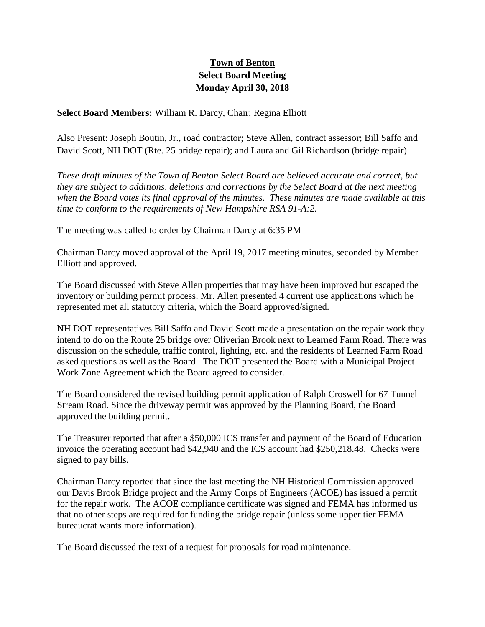## **Town of Benton Select Board Meeting Monday April 30, 2018**

**Select Board Members:** William R. Darcy, Chair; Regina Elliott

Also Present: Joseph Boutin, Jr., road contractor; Steve Allen, contract assessor; Bill Saffo and David Scott, NH DOT (Rte. 25 bridge repair); and Laura and Gil Richardson (bridge repair)

*These draft minutes of the Town of Benton Select Board are believed accurate and correct, but they are subject to additions, deletions and corrections by the Select Board at the next meeting when the Board votes its final approval of the minutes. These minutes are made available at this time to conform to the requirements of New Hampshire RSA 91-A:2.*

The meeting was called to order by Chairman Darcy at 6:35 PM

Chairman Darcy moved approval of the April 19, 2017 meeting minutes, seconded by Member Elliott and approved.

The Board discussed with Steve Allen properties that may have been improved but escaped the inventory or building permit process. Mr. Allen presented 4 current use applications which he represented met all statutory criteria, which the Board approved/signed.

NH DOT representatives Bill Saffo and David Scott made a presentation on the repair work they intend to do on the Route 25 bridge over Oliverian Brook next to Learned Farm Road. There was discussion on the schedule, traffic control, lighting, etc. and the residents of Learned Farm Road asked questions as well as the Board. The DOT presented the Board with a Municipal Project Work Zone Agreement which the Board agreed to consider.

The Board considered the revised building permit application of Ralph Croswell for 67 Tunnel Stream Road. Since the driveway permit was approved by the Planning Board, the Board approved the building permit.

The Treasurer reported that after a \$50,000 ICS transfer and payment of the Board of Education invoice the operating account had \$42,940 and the ICS account had \$250,218.48. Checks were signed to pay bills.

Chairman Darcy reported that since the last meeting the NH Historical Commission approved our Davis Brook Bridge project and the Army Corps of Engineers (ACOE) has issued a permit for the repair work. The ACOE compliance certificate was signed and FEMA has informed us that no other steps are required for funding the bridge repair (unless some upper tier FEMA bureaucrat wants more information).

The Board discussed the text of a request for proposals for road maintenance.